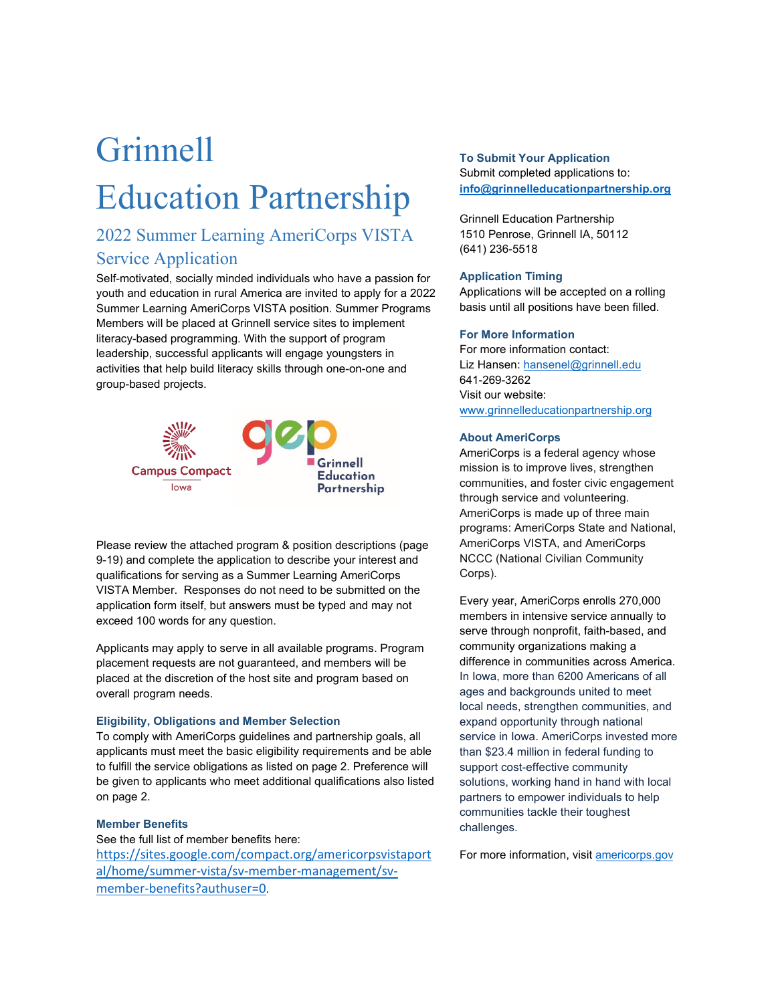# Grinnell Education Partnership

### Service Application 2022 Summer Learning AmeriCorps VISTA

 youth and education in rural America are invited to apply for a 2022 Members will be placed at Grinnell service sites to implement Self-motivated, socially minded individuals who have a passion for Summer Learning AmeriCorps VISTA position. Summer Programs literacy-based programming. With the support of program leadership, successful applicants will engage youngsters in activities that help build literacy skills through one-on-one and group-based projects.



Please review the attached program & position descriptions (page 9-19) and complete the application to describe your interest and qualifications for serving as a Summer Learning AmeriCorps VISTA Member. Responses do not need to be submitted on the application form itself, but answers must be typed and may not exceed 100 words for any question.

 placed at the discretion of the host site and program based on Applicants may apply to serve in all available programs. Program placement requests are not guaranteed, and members will be overall program needs.

#### **Eligibility, Obligations and Member Selection**

 to fulfill the service obligations as listed on page 2. Preference will be given to applicants who meet additional qualifications also listed To comply with AmeriCorps guidelines and partnership goals, all applicants must meet the basic eligibility requirements and be able on page 2.

#### **Member Benefits**

 See the full list of member benefits here: [https://sites.google.com/compact.org/americorpsvistaport](https://sites.google.com/compact.org/americorpsvistaportal/home/summer-vista/sv-member-management/sv-member-benefits?authuser=0)  [al/home/summer-vista/sv-member-management/sv](https://sites.google.com/compact.org/americorpsvistaportal/home/summer-vista/sv-member-management/sv-member-benefits?authuser=0)[member-benefits?authuser=0](https://sites.google.com/compact.org/americorpsvistaportal/home/summer-vista/sv-member-management/sv-member-benefits?authuser=0).

**To Submit Your Application**  Submit completed applications to: **[info@grinnelleducationpartnership.org](mailto:info@grinnelleducationpartnership.org)** 

Grinnell Education Partnership 1510 Penrose, Grinnell IA, 50112 (641) 236-5518

#### **Application Timing**

 basis until all positions have been filled. Applications will be accepted on a rolling

#### **For More Information**

For more information contact: Liz Hansen: hansenel@grinnell.edu 641-269-3262 Visit our we[bsite:](mailto:hansenel@grinnell.edu) www.grinnelleducationpartnership.org

#### **About AmeriCorps**

[AmeriCorps is a federal agency whose](https://grinco-my.sharepoint.com/personal/hansenel_grinnell_edu/Documents/Desktop/www.grinnelleducationpartnership.org) mission is to improve lives, strengthen communities, and foster civic engagement through service and volunteering. AmeriCorps is made up of three main programs: AmeriCorps State and National, AmeriCorps VISTA, and AmeriCorps NCCC (National Civilian Community Corps).

 support cost-effective community Every year, AmeriCorps enrolls 270,000 members in intensive service annually to serve through nonprofit, faith-based, and community organizations making a difference in communities across America. In Iowa, more than 6200 Americans of all ages and backgrounds united to meet local needs, strengthen communities, and expand opportunity through national service in Iowa. AmeriCorps invested more than \$23.4 million in federal funding to solutions, working hand in hand with local partners to empower individuals to help communities tackle their toughest challenges.

For more information, visit americorps.gov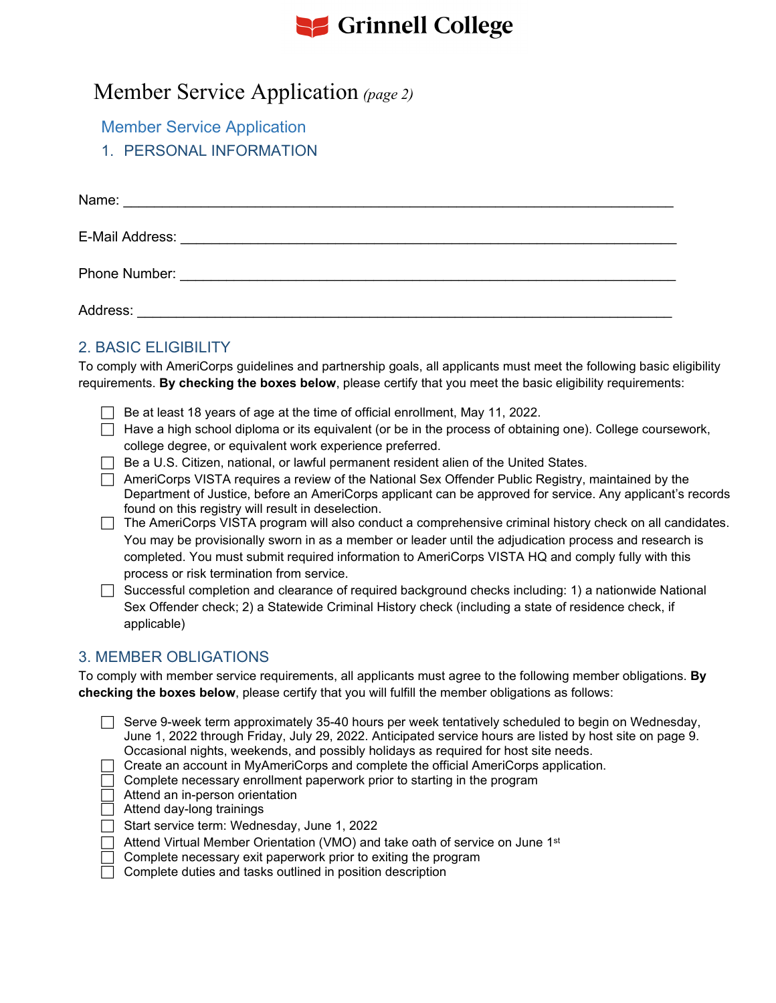# **See Grinnell College**

### Member Service Application *(page 2)*

Member Service Application

1. PERSONAL INFORMATION

| Address: |
|----------|

### 2. BASIC ELIGIBILITY

To comply with AmeriCorps guidelines and partnership goals, all applicants must meet the following basic eligibility requirements. **By checking the boxes below**, please certify that you meet the basic eligibility requirements:

- $\Box$  Be at least 18 years of age at the time of official enrollment, May 11, 2022.
- $\Box$  Have a high school diploma or its equivalent (or be in the process of obtaining one). College coursework, college degree, or equivalent work experience preferred.
- $\Box$  Be a U.S. Citizen, national, or lawful permanent resident alien of the United States.
- AmeriCorps VISTA requires a review of the National Sex Offender Public Registry, maintained by the Department of Justice, before an AmeriCorps applicant can be approved for service. Any applicant's records found on this registry will result in deselection.
- $\Box$  The AmeriCorps VISTA program will also conduct a comprehensive criminal history check on all candidates. You may be provisionally sworn in as a member or leader until the adjudication process and research is completed. You must submit required information to AmeriCorps VISTA HQ and comply fully with this process or risk termination from service.
- Successful completion and clearance of required background checks including: 1) a nationwide National Sex Offender check; 2) a Statewide Criminal History check (including a state of residence check, if applicable)

### 3. MEMBER OBLIGATIONS

To comply with member service requirements, all applicants must agree to the following member obligations. **By checking the boxes below**, please certify that you will fulfill the member obligations as follows:

- $\Box$  Serve 9-week term approximately 35-40 hours per week tentatively scheduled to begin on Wednesday, June 1, 2022 through Friday, July 29, 2022. Anticipated service hours are listed by host site on page 9. Occasional nights, weekends, and possibly holidays as required for host site needs.
- $\Box$  Create an account in MyAmeriCorps and complete the official AmeriCorps application.
- Complete necessary enrollment paperwork prior to starting in the program
- Attend an in-person orientation
- Attend day-long trainings
- Start service term: Wednesday, June 1, 2022
- $\Box$  Attend Virtual Member Orientation (VMO) and take oath of service on June 1 $^{\rm st}$
- $\Box~$  Complete necessary exit paperwork prior to exiting the program
- $\Box$  Complete duties and tasks outlined in position description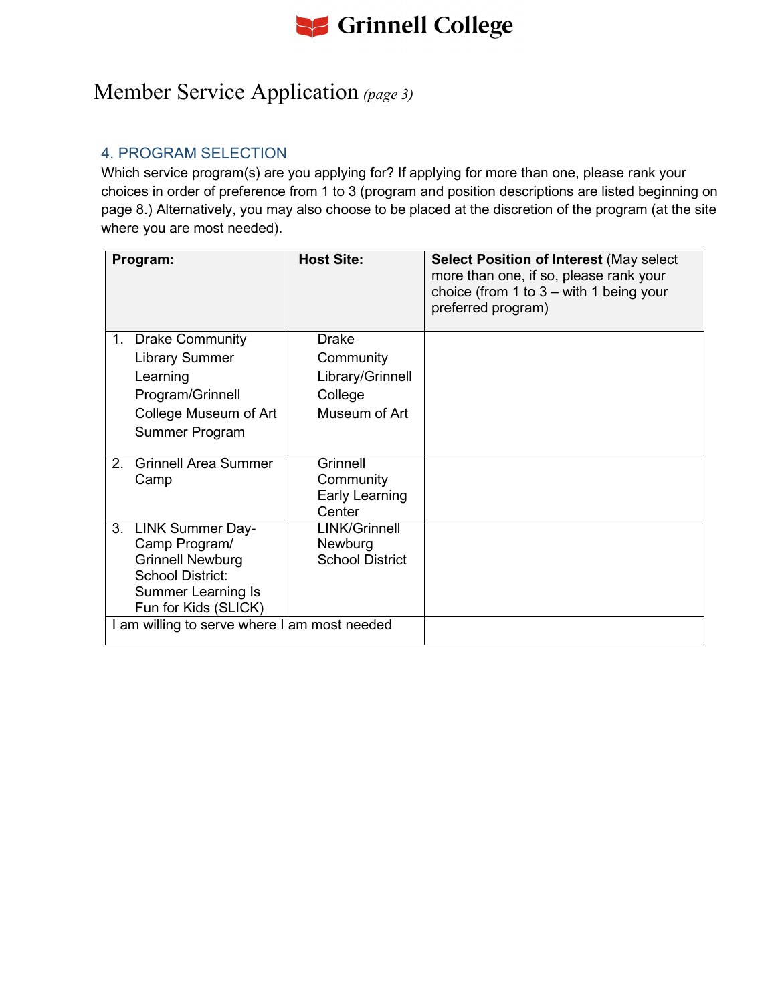

### Member Service Application *(page 3)*

### 4. PROGRAM SELECTION

Which service program(s) are you applying for? If applying for more than one, please rank your choices in order of preference from 1 to 3 (program and position descriptions are listed beginning on page 8.) Alternatively, you may also choose to be placed at the discretion of the program (at the site where you are most needed).

| <b>Drake</b><br>Community<br>Library/Grinnell<br>College<br>Museum of Art |                                              |
|---------------------------------------------------------------------------|----------------------------------------------|
| Grinnell<br>Community<br>Early Learning<br>Center                         |                                              |
| LINK/Grinnell<br>Newburg<br><b>School District</b>                        |                                              |
|                                                                           | I am willing to serve where I am most needed |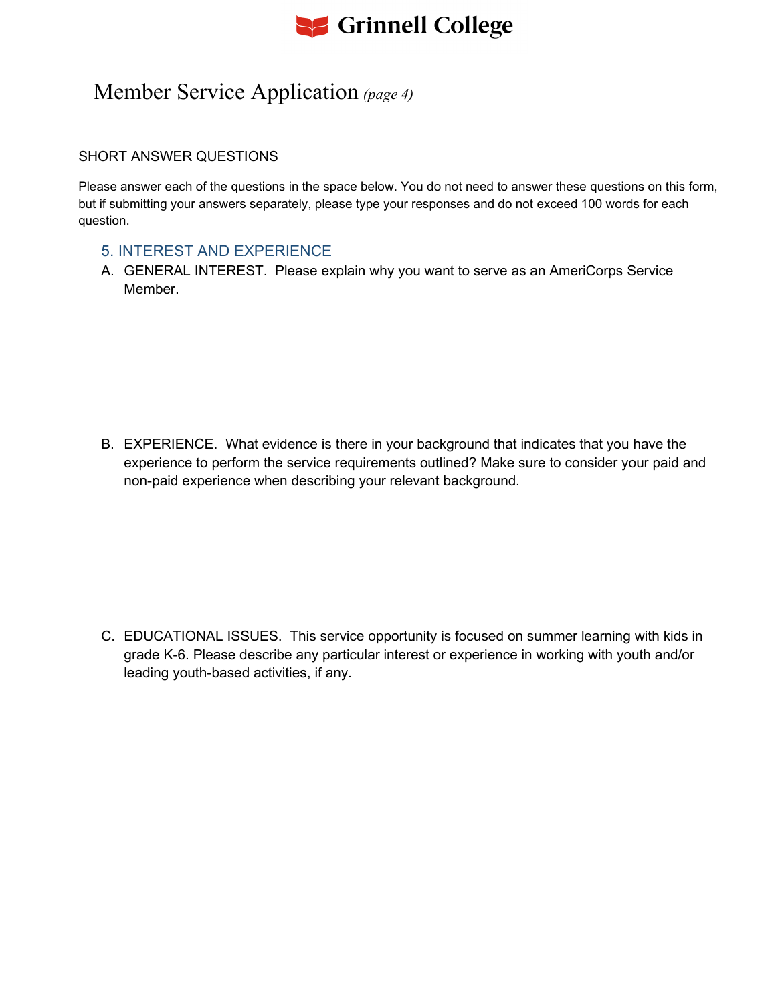

### Member Service Application *(page 4)*

#### SHORT ANSWER QUESTIONS

Please answer each of the questions in the space below. You do not need to answer these questions on this form, but if submitting your answers separately, please type your responses and do not exceed 100 words for each question.

#### 5. INTEREST AND EXPERIENCE

A. GENERAL INTEREST. Please explain why you want to serve as an AmeriCorps Service **Member** 

B. EXPERIENCE. What evidence is there in your background that indicates that you have the experience to perform the service requirements outlined? Make sure to consider your paid and non-paid experience when describing your relevant background.

C. EDUCATIONAL ISSUES. This service opportunity is focused on summer learning with kids in grade K-6. Please describe any particular interest or experience in working with youth and/or leading youth-based activities, if any.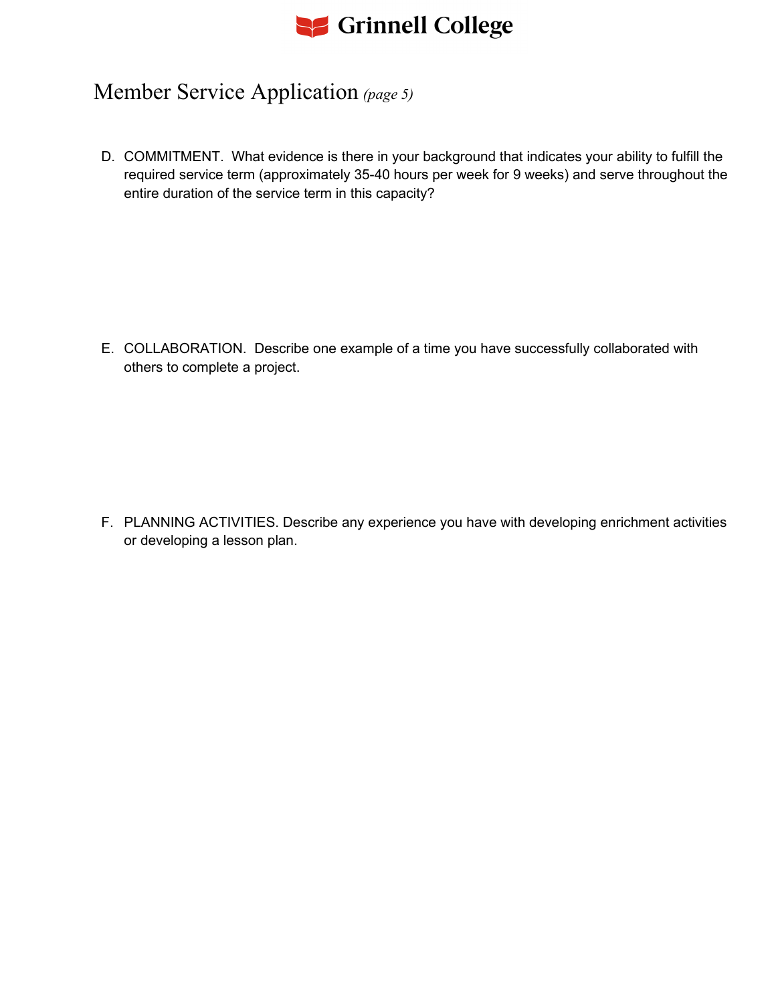# Se Grinnell College

### Member Service Application *(page 5)*

D. COMMITMENT. What evidence is there in your background that indicates your ability to fulfill the required service term (approximately 35-40 hours per week for 9 weeks) and serve throughout the entire duration of the service term in this capacity?

E. COLLABORATION. Describe one example of a time you have successfully collaborated with others to complete a project.

F. PLANNING ACTIVITIES. Describe any experience you have with developing enrichment activities or developing a lesson plan.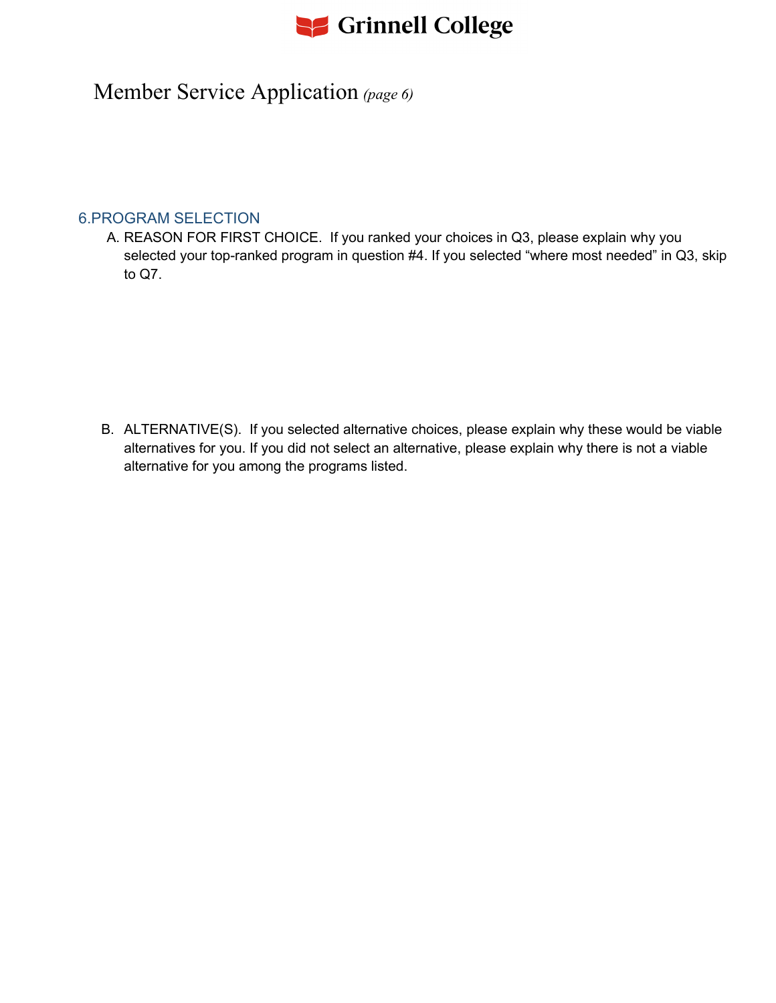# Se Grinnell College

### Member Service Application *(page 6)*

### 6.PROGRAM SELECTION

A. REASON FOR FIRST CHOICE. If you ranked your choices in Q3, please explain why you selected your top-ranked program in question #4. If you selected "where most needed" in Q3, skip to Q7.

B. ALTERNATIVE(S). If you selected alternative choices, please explain why these would be viable alternatives for you. If you did not select an alternative, please explain why there is not a viable alternative for you among the programs listed.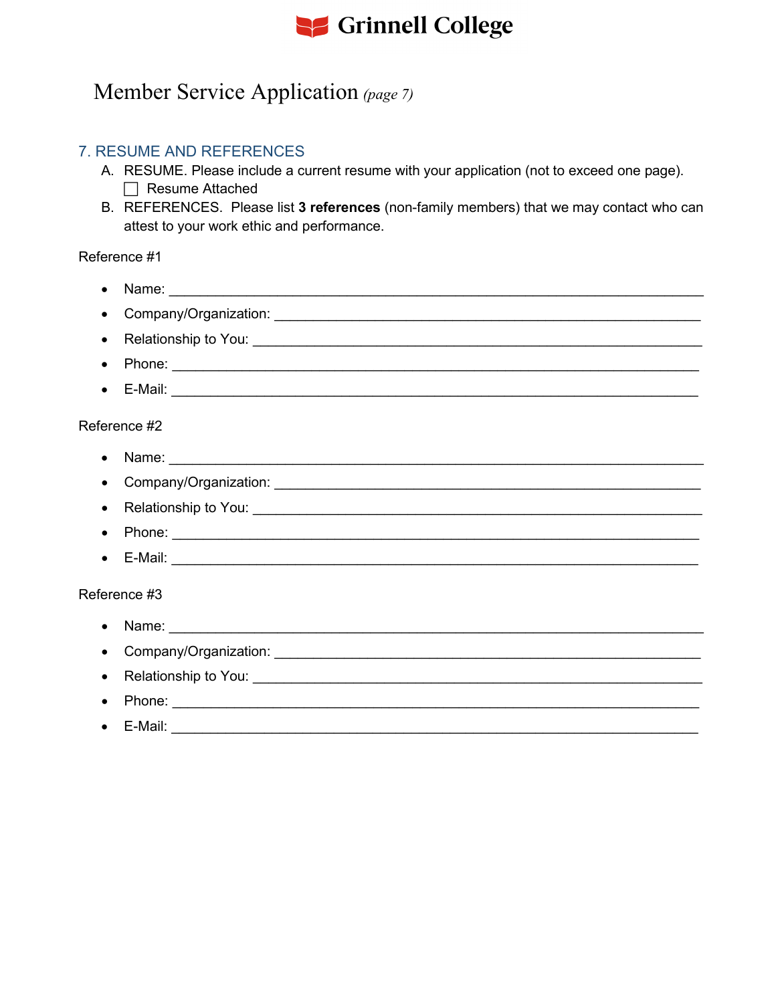# Se Grinnell College

### Member Service Application (page 7)

### **7. RESUME AND REFERENCES**

- A. RESUME. Please include a current resume with your application (not to exceed one page).  $\Box$  Resume Attached
- B. REFERENCES. Please list 3 references (non-family members) that we may contact who can attest to your work ethic and performance.

#### Reference #1

• Name: The Communication of the Communication of the Communication of the Communication of the Communication of the Communication of the Communication of the Communication of the Communication of the Communication of the • Company/Organization: Campany and Company and Company and Company and Company and Company and Company and Company and Company and Company and Company and Company and Company and Company and Company and Company and Compan  $\bullet$  E-Mail: Reference #2 • Phone:  $\overline{\phantom{a}}$  $\bullet$  E-Mail: Reference #3 • Name: experience and the set of the set of the set of the set of the set of the set of the set of the set of the set of the set of the set of the set of the set of the set of the set of the set of the set of the set of t • Relationship to You: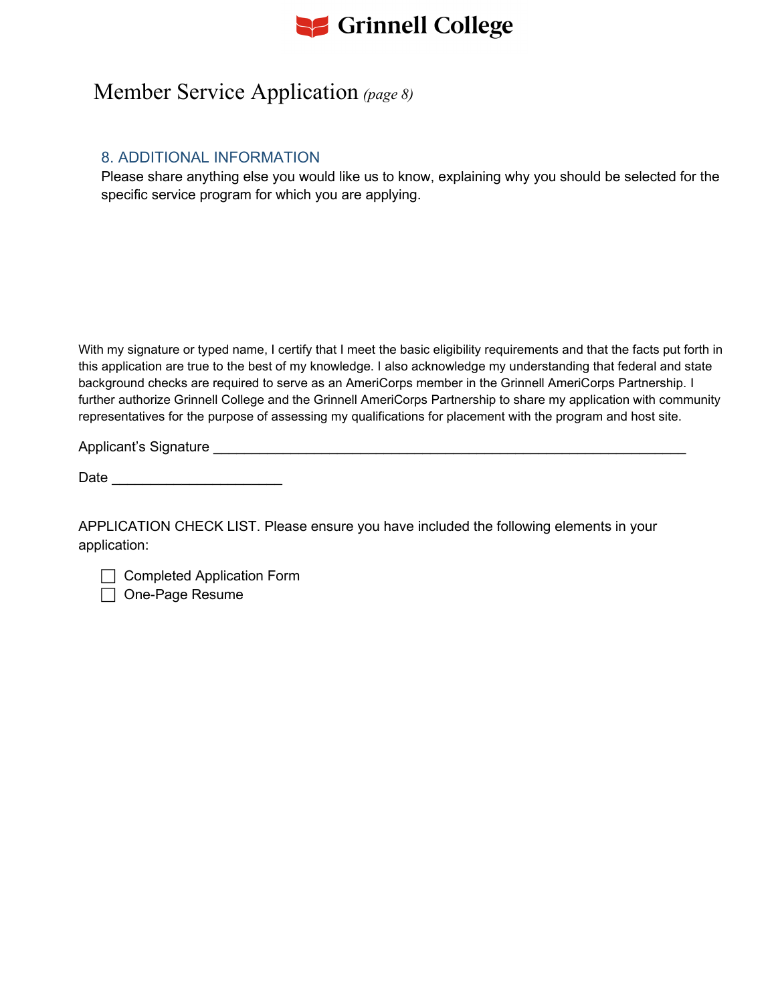

### Member Service Application *(page 8)*

### 8. ADDITIONAL INFORMATION

Please share anything else you would like us to know, explaining why you should be selected for the specific service program for which you are applying.

With my signature or typed name, I certify that I meet the basic eligibility requirements and that the facts put forth in this application are true to the best of my knowledge. I also acknowledge my understanding that federal and state background checks are required to serve as an AmeriCorps member in the Grinnell AmeriCorps Partnership. I further authorize Grinnell College and the Grinnell AmeriCorps Partnership to share my application with community representatives for the purpose of assessing my qualifications for placement with the program and host site.

Applicant's Signature Later and the state of the state of the state of the state of the state of the state of the state of the state of the state of the state of the state of the state of the state of the state of the stat

Date \_\_\_\_\_\_\_\_\_\_\_\_\_\_\_\_\_\_\_\_\_\_

APPLICATION CHECK LIST. Please ensure you have included the following elements in your application:

□ Completed Application Form

□ One-Page Resume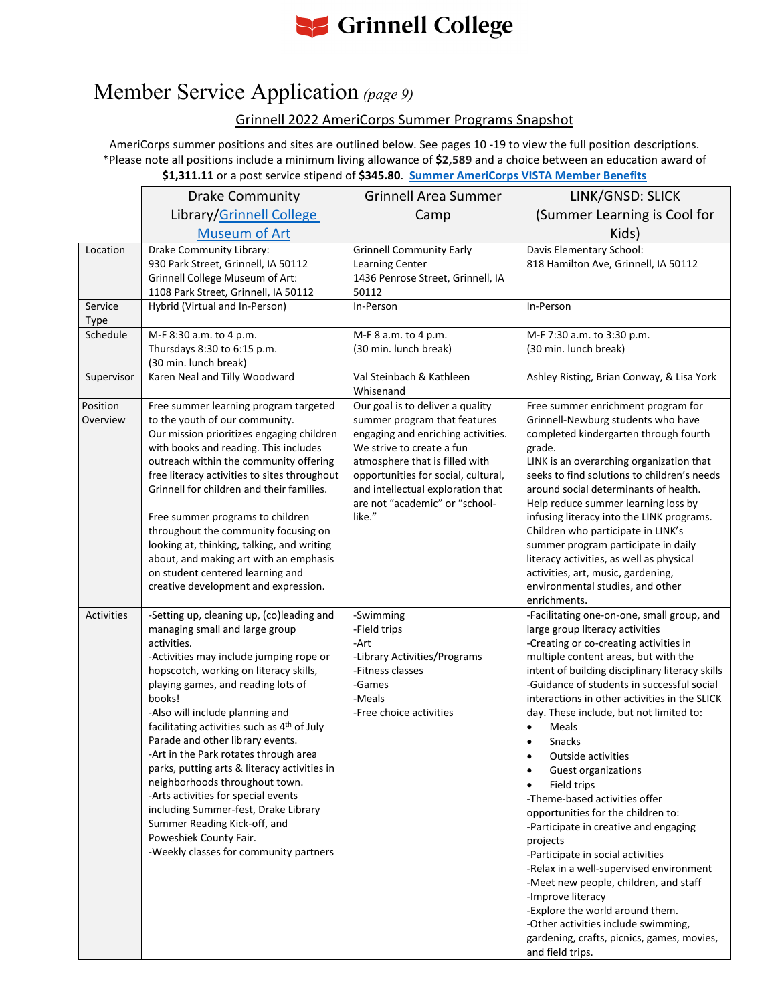

# Member Service Application *(page 9)*

### Grinnell 2022 AmeriCorps Summer Programs Snapshot

AmeriCorps summer positions and sites are outlined below. See pages 10 -19 to view the full position descriptions. \*Please note all positions include a minimum living allowance of **\$2,589** and a choice between an education award of **\$1,311.11** or a post service stipend of **\$345.80**. **[Summer AmeriCorps VISTA Member Benefits](https://sites.google.com/compact.org/americorpsvistaportal/home/summer-vista/sv-member-management/sv-member-benefits?authuser=0)**

|                   | <b>Drake Community</b>                                                                                                                                                                                                                                                                                                                                                                                                                                                                                                                                                                                                                                              | <b>Grinnell Area Summer</b>                                                                                                                                                                                                                               | LINK/GNSD: SLICK                                                                                                                                                                                                                                                                                                                                                                                                                                                                                                                                                                                                                                                                                                                                                                                                                                                               |
|-------------------|---------------------------------------------------------------------------------------------------------------------------------------------------------------------------------------------------------------------------------------------------------------------------------------------------------------------------------------------------------------------------------------------------------------------------------------------------------------------------------------------------------------------------------------------------------------------------------------------------------------------------------------------------------------------|-----------------------------------------------------------------------------------------------------------------------------------------------------------------------------------------------------------------------------------------------------------|--------------------------------------------------------------------------------------------------------------------------------------------------------------------------------------------------------------------------------------------------------------------------------------------------------------------------------------------------------------------------------------------------------------------------------------------------------------------------------------------------------------------------------------------------------------------------------------------------------------------------------------------------------------------------------------------------------------------------------------------------------------------------------------------------------------------------------------------------------------------------------|
|                   | Library/Grinnell College                                                                                                                                                                                                                                                                                                                                                                                                                                                                                                                                                                                                                                            | Camp                                                                                                                                                                                                                                                      | (Summer Learning is Cool for                                                                                                                                                                                                                                                                                                                                                                                                                                                                                                                                                                                                                                                                                                                                                                                                                                                   |
|                   | <b>Museum of Art</b>                                                                                                                                                                                                                                                                                                                                                                                                                                                                                                                                                                                                                                                |                                                                                                                                                                                                                                                           | Kids)                                                                                                                                                                                                                                                                                                                                                                                                                                                                                                                                                                                                                                                                                                                                                                                                                                                                          |
| Location          | Drake Community Library:<br>930 Park Street, Grinnell, IA 50112<br>Grinnell College Museum of Art:                                                                                                                                                                                                                                                                                                                                                                                                                                                                                                                                                                  | <b>Grinnell Community Early</b><br>Learning Center<br>1436 Penrose Street, Grinnell, IA                                                                                                                                                                   | Davis Elementary School:<br>818 Hamilton Ave, Grinnell, IA 50112                                                                                                                                                                                                                                                                                                                                                                                                                                                                                                                                                                                                                                                                                                                                                                                                               |
|                   | 1108 Park Street, Grinnell, IA 50112                                                                                                                                                                                                                                                                                                                                                                                                                                                                                                                                                                                                                                | 50112                                                                                                                                                                                                                                                     |                                                                                                                                                                                                                                                                                                                                                                                                                                                                                                                                                                                                                                                                                                                                                                                                                                                                                |
| Service           | Hybrid (Virtual and In-Person)                                                                                                                                                                                                                                                                                                                                                                                                                                                                                                                                                                                                                                      | In-Person                                                                                                                                                                                                                                                 | In-Person                                                                                                                                                                                                                                                                                                                                                                                                                                                                                                                                                                                                                                                                                                                                                                                                                                                                      |
| Type<br>Schedule  | M-F 8:30 a.m. to 4 p.m.                                                                                                                                                                                                                                                                                                                                                                                                                                                                                                                                                                                                                                             | M-F 8 a.m. to 4 p.m.                                                                                                                                                                                                                                      | M-F 7:30 a.m. to 3:30 p.m.                                                                                                                                                                                                                                                                                                                                                                                                                                                                                                                                                                                                                                                                                                                                                                                                                                                     |
|                   | Thursdays 8:30 to 6:15 p.m.                                                                                                                                                                                                                                                                                                                                                                                                                                                                                                                                                                                                                                         | (30 min. lunch break)                                                                                                                                                                                                                                     | (30 min. lunch break)                                                                                                                                                                                                                                                                                                                                                                                                                                                                                                                                                                                                                                                                                                                                                                                                                                                          |
|                   | (30 min. lunch break)                                                                                                                                                                                                                                                                                                                                                                                                                                                                                                                                                                                                                                               |                                                                                                                                                                                                                                                           |                                                                                                                                                                                                                                                                                                                                                                                                                                                                                                                                                                                                                                                                                                                                                                                                                                                                                |
| Supervisor        | Karen Neal and Tilly Woodward                                                                                                                                                                                                                                                                                                                                                                                                                                                                                                                                                                                                                                       | Val Steinbach & Kathleen<br>Whisenand                                                                                                                                                                                                                     | Ashley Risting, Brian Conway, & Lisa York                                                                                                                                                                                                                                                                                                                                                                                                                                                                                                                                                                                                                                                                                                                                                                                                                                      |
| Position          | Free summer learning program targeted                                                                                                                                                                                                                                                                                                                                                                                                                                                                                                                                                                                                                               | Our goal is to deliver a quality                                                                                                                                                                                                                          | Free summer enrichment program for                                                                                                                                                                                                                                                                                                                                                                                                                                                                                                                                                                                                                                                                                                                                                                                                                                             |
| Overview          | to the youth of our community.<br>Our mission prioritizes engaging children<br>with books and reading. This includes<br>outreach within the community offering<br>free literacy activities to sites throughout<br>Grinnell for children and their families.<br>Free summer programs to children<br>throughout the community focusing on<br>looking at, thinking, talking, and writing<br>about, and making art with an emphasis<br>on student centered learning and<br>creative development and expression.                                                                                                                                                         | summer program that features<br>engaging and enriching activities.<br>We strive to create a fun<br>atmosphere that is filled with<br>opportunities for social, cultural,<br>and intellectual exploration that<br>are not "academic" or "school-<br>like." | Grinnell-Newburg students who have<br>completed kindergarten through fourth<br>grade.<br>LINK is an overarching organization that<br>seeks to find solutions to children's needs<br>around social determinants of health.<br>Help reduce summer learning loss by<br>infusing literacy into the LINK programs.<br>Children who participate in LINK's<br>summer program participate in daily<br>literacy activities, as well as physical<br>activities, art, music, gardening,<br>environmental studies, and other<br>enrichments.                                                                                                                                                                                                                                                                                                                                               |
| <b>Activities</b> | -Setting up, cleaning up, (co)leading and<br>managing small and large group<br>activities.<br>-Activities may include jumping rope or<br>hopscotch, working on literacy skills,<br>playing games, and reading lots of<br>books!<br>-Also will include planning and<br>facilitating activities such as 4th of July<br>Parade and other library events.<br>-Art in the Park rotates through area<br>parks, putting arts & literacy activities in<br>neighborhoods throughout town.<br>-Arts activities for special events<br>including Summer-fest, Drake Library<br>Summer Reading Kick-off, and<br>Poweshiek County Fair.<br>-Weekly classes for community partners | -Swimming<br>-Field trips<br>-Art<br>-Library Activities/Programs<br>-Fitness classes<br>-Games<br>-Meals<br>-Free choice activities                                                                                                                      | -Facilitating one-on-one, small group, and<br>large group literacy activities<br>-Creating or co-creating activities in<br>multiple content areas, but with the<br>intent of building disciplinary literacy skills<br>-Guidance of students in successful social<br>interactions in other activities in the SLICK<br>day. These include, but not limited to:<br>Meals<br>Snacks<br>Outside activities<br>Guest organizations<br>$\bullet$<br>Field trips<br>-Theme-based activities offer<br>opportunities for the children to:<br>-Participate in creative and engaging<br>projects<br>-Participate in social activities<br>-Relax in a well-supervised environment<br>-Meet new people, children, and staff<br>-Improve literacy<br>-Explore the world around them.<br>-Other activities include swimming,<br>gardening, crafts, picnics, games, movies,<br>and field trips. |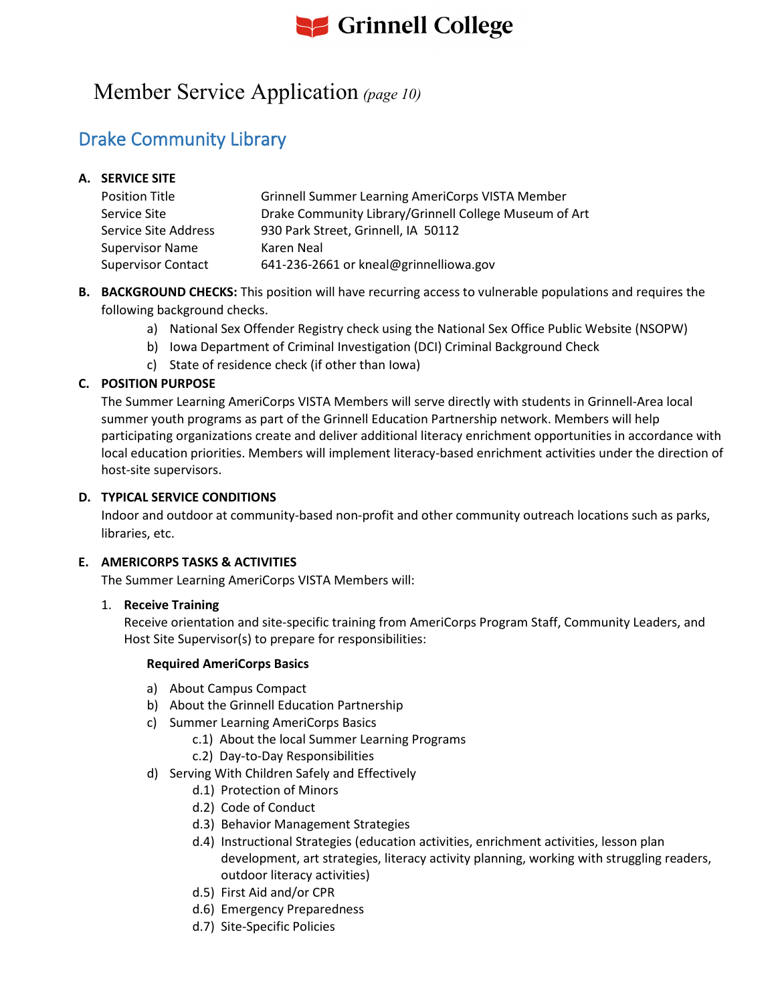# **S** Grinnell College

### Member Service Application *(page 10)*

### Drake Community Library

### **A. SERVICE SITE**

| <b>Position Title</b>     | <b>Grinnell Summer Learning AmeriCorps VISTA Member</b> |
|---------------------------|---------------------------------------------------------|
| Service Site              | Drake Community Library/Grinnell College Museum of Art  |
| Service Site Address      | 930 Park Street, Grinnell, IA 50112                     |
| <b>Supervisor Name</b>    | Karen Neal                                              |
| <b>Supervisor Contact</b> | 641-236-2661 or kneal@grinnelliowa.gov                  |

- **B. BACKGROUND CHECKS:** This position will have recurring access to vulnerable populations and requires the following background checks.
	- a) National Sex Offender Registry check using the National Sex Office Public Website (NSOPW)
	- b) Iowa Department of Criminal Investigation (DCI) Criminal Background Check
	- c) State of residence check (if other than Iowa)

### **C. POSITION PURPOSE**

The Summer Learning AmeriCorps VISTA Members will serve directly with students in Grinnell-Area local summer youth programs as part of the Grinnell Education Partnership network. Members will help participating organizations create and deliver additional literacy enrichment opportunities in accordance with local education priorities. Members will implement literacy-based enrichment activities under the direction of host-site supervisors.

#### **D. TYPICAL SERVICE CONDITIONS**

Indoor and outdoor at community-based non-profit and other community outreach locations such as parks, libraries, etc.

#### **E. AMERICORPS TASKS & ACTIVITIES**

The Summer Learning AmeriCorps VISTA Members will:

#### 1. **Receive Training**

Receive orientation and site-specific training from AmeriCorps Program Staff, Community Leaders, and Host Site Supervisor(s) to prepare for responsibilities:

- a) About Campus Compact
- b) About the Grinnell Education Partnership
- c) Summer Learning AmeriCorps Basics
	- c.1) About the local Summer Learning Programs
	- c.2) Day-to-Day Responsibilities
- d) Serving With Children Safely and Effectively
	- d.1) Protection of Minors
	- d.2) Code of Conduct
	- d.3) Behavior Management Strategies
	- d.4) Instructional Strategies (education activities, enrichment activities, lesson plan development, art strategies, literacy activity planning, working with struggling readers, outdoor literacy activities)
	- d.5) First Aid and/or CPR
	- d.6) Emergency Preparedness
	- d.7) Site-Specific Policies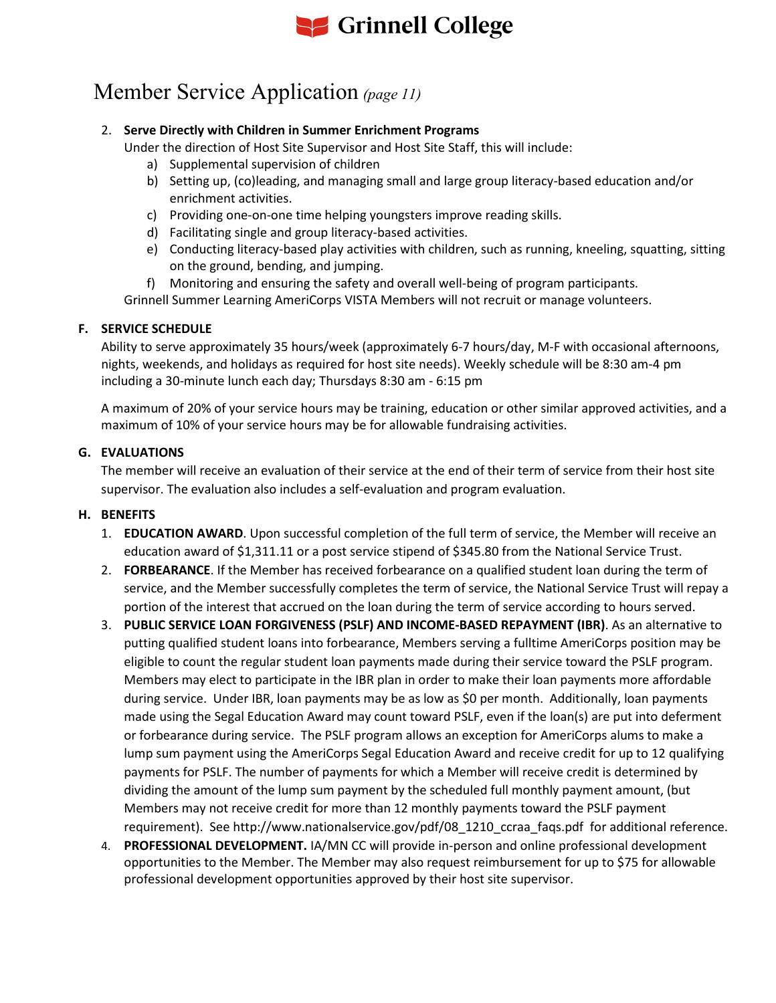

# Member Service Application *(page 11)*

#### 2. **Serve Directly with Children in Summer Enrichment Programs**

Under the direction of Host Site Supervisor and Host Site Staff, this will include:

- a) Supplemental supervision of children
- b) Setting up, (co)leading, and managing small and large group literacy-based education and/or enrichment activities.
- c) Providing one-on-one time helping youngsters improve reading skills.
- d) Facilitating single and group literacy-based activities.
- e) Conducting literacy-based play activities with children, such as running, kneeling, squatting, sitting on the ground, bending, and jumping.
- f) Monitoring and ensuring the safety and overall well-being of program participants.

Grinnell Summer Learning AmeriCorps VISTA Members will not recruit or manage volunteers.

#### **F. SERVICE SCHEDULE**

Ability to serve approximately 35 hours/week (approximately 6-7 hours/day, M-F with occasional afternoons, nights, weekends, and holidays as required for host site needs). Weekly schedule will be 8:30 am-4 pm including a 30-minute lunch each day; Thursdays 8:30 am - 6:15 pm

A maximum of 20% of your service hours may be training, education or other similar approved activities, and a maximum of 10% of your service hours may be for allowable fundraising activities.

#### **G. EVALUATIONS**

The member will receive an evaluation of their service at the end of their term of service from their host site supervisor. The evaluation also includes a self-evaluation and program evaluation.

#### **H. BENEFITS**

- 1. **EDUCATION AWARD**. Upon successful completion of the full term of service, the Member will receive an education award of \$1,311.11 or a post service stipend of \$345.80 from the National Service Trust.
- 2. **FORBEARANCE**. If the Member has received forbearance on a qualified student loan during the term of service, and the Member successfully completes the term of service, the National Service Trust will repay a portion of the interest that accrued on the loan during the term of service according to hours served.
- 3. **PUBLIC SERVICE LOAN FORGIVENESS (PSLF) AND INCOME-BASED REPAYMENT (IBR)**. As an alternative to putting qualified student loans into forbearance, Members serving a fulltime AmeriCorps position may be eligible to count the regular student loan payments made during their service toward the PSLF program. Members may elect to participate in the IBR plan in order to make their loan payments more affordable during service. Under IBR, loan payments may be as low as \$0 per month. Additionally, loan payments made using the Segal Education Award may count toward PSLF, even if the loan(s) are put into deferment or forbearance during service. The PSLF program allows an exception for AmeriCorps alums to make a lump sum payment using the AmeriCorps Segal Education Award and receive credit for up to 12 qualifying payments for PSLF. The number of payments for which a Member will receive credit is determined by dividing the amount of the lump sum payment by the scheduled full monthly payment amount, (but Members may not receive credit for more than 12 monthly payments toward the PSLF payment requirement). See http://www.nationalservice.gov/pdf/08\_1210\_ccraa\_faqs.pdf for additional reference.
- 4. **PROFESSIONAL DEVELOPMENT.** IA/MN CC will provide in-person and online professional development opportunities to the Member. The Member may also request reimbursement for up to \$75 for allowable professional development opportunities approved by their host site supervisor.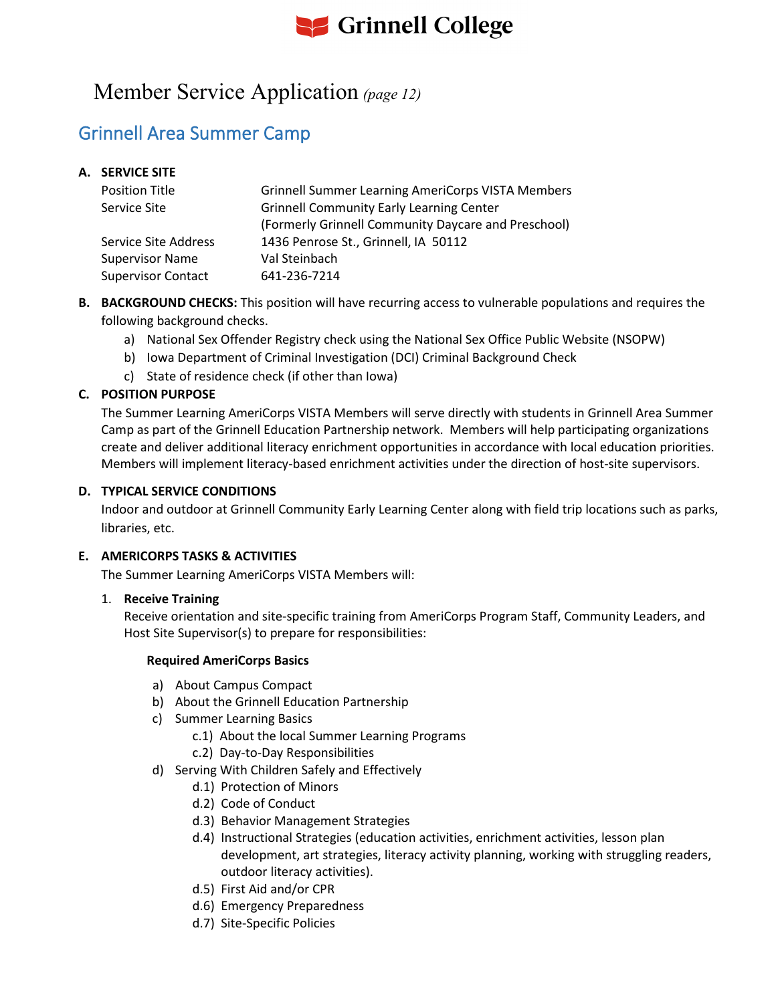

### Member Service Application *(page 12)*

### Grinnell Area Summer Camp

#### **A. SERVICE SITE**

| <b>Position Title</b>     | <b>Grinnell Summer Learning AmeriCorps VISTA Members</b> |
|---------------------------|----------------------------------------------------------|
| Service Site              | <b>Grinnell Community Early Learning Center</b>          |
|                           | (Formerly Grinnell Community Daycare and Preschool)      |
| Service Site Address      | 1436 Penrose St., Grinnell, IA 50112                     |
| <b>Supervisor Name</b>    | Val Steinbach                                            |
| <b>Supervisor Contact</b> | 641-236-7214                                             |

- **B. BACKGROUND CHECKS:** This position will have recurring access to vulnerable populations and requires the following background checks.
	- a) National Sex Offender Registry check using the National Sex Office Public Website (NSOPW)
	- b) Iowa Department of Criminal Investigation (DCI) Criminal Background Check
	- c) State of residence check (if other than Iowa)

#### **C. POSITION PURPOSE**

The Summer Learning AmeriCorps VISTA Members will serve directly with students in Grinnell Area Summer Camp as part of the Grinnell Education Partnership network. Members will help participating organizations create and deliver additional literacy enrichment opportunities in accordance with local education priorities. Members will implement literacy-based enrichment activities under the direction of host-site supervisors.

#### **D. TYPICAL SERVICE CONDITIONS**

Indoor and outdoor at Grinnell Community Early Learning Center along with field trip locations such as parks, libraries, etc.

#### **E. AMERICORPS TASKS & ACTIVITIES**

The Summer Learning AmeriCorps VISTA Members will:

#### 1. **Receive Training**

Receive orientation and site-specific training from AmeriCorps Program Staff, Community Leaders, and Host Site Supervisor(s) to prepare for responsibilities:

- a) About Campus Compact
- b) About the Grinnell Education Partnership
- c) Summer Learning Basics
	- c.1) About the local Summer Learning Programs
	- c.2) Day-to-Day Responsibilities
- d) Serving With Children Safely and Effectively
	- d.1) Protection of Minors
	- d.2) Code of Conduct
	- d.3) Behavior Management Strategies
	- d.4) Instructional Strategies (education activities, enrichment activities, lesson plan development, art strategies, literacy activity planning, working with struggling readers, outdoor literacy activities).
	- d.5) First Aid and/or CPR
	- d.6) Emergency Preparedness
	- d.7) Site-Specific Policies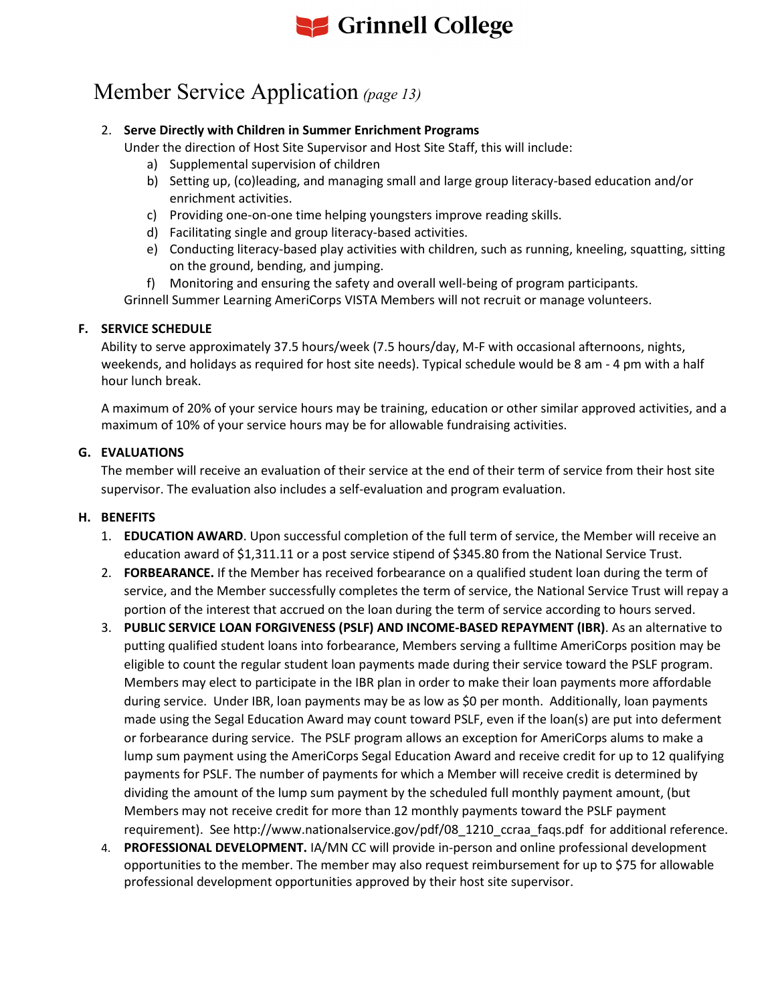

# Member Service Application *(page 13)*

#### 2. **Serve Directly with Children in Summer Enrichment Programs**

Under the direction of Host Site Supervisor and Host Site Staff, this will include:

- a) Supplemental supervision of children
- b) Setting up, (co)leading, and managing small and large group literacy-based education and/or enrichment activities.
- c) Providing one-on-one time helping youngsters improve reading skills.
- d) Facilitating single and group literacy-based activities.
- e) Conducting literacy-based play activities with children, such as running, kneeling, squatting, sitting on the ground, bending, and jumping.
- f) Monitoring and ensuring the safety and overall well-being of program participants.

Grinnell Summer Learning AmeriCorps VISTA Members will not recruit or manage volunteers.

#### **F. SERVICE SCHEDULE**

Ability to serve approximately 37.5 hours/week (7.5 hours/day, M-F with occasional afternoons, nights, weekends, and holidays as required for host site needs). Typical schedule would be 8 am - 4 pm with a half hour lunch break.

A maximum of 20% of your service hours may be training, education or other similar approved activities, and a maximum of 10% of your service hours may be for allowable fundraising activities.

#### **G. EVALUATIONS**

The member will receive an evaluation of their service at the end of their term of service from their host site supervisor. The evaluation also includes a self-evaluation and program evaluation.

#### **H. BENEFITS**

- 1. **EDUCATION AWARD**. Upon successful completion of the full term of service, the Member will receive an education award of \$1,311.11 or a post service stipend of \$345.80 from the National Service Trust.
- 2. **FORBEARANCE.** If the Member has received forbearance on a qualified student loan during the term of service, and the Member successfully completes the term of service, the National Service Trust will repay a portion of the interest that accrued on the loan during the term of service according to hours served.
- 3. **PUBLIC SERVICE LOAN FORGIVENESS (PSLF) AND INCOME-BASED REPAYMENT (IBR)**. As an alternative to putting qualified student loans into forbearance, Members serving a fulltime AmeriCorps position may be eligible to count the regular student loan payments made during their service toward the PSLF program. Members may elect to participate in the IBR plan in order to make their loan payments more affordable during service. Under IBR, loan payments may be as low as \$0 per month. Additionally, loan payments made using the Segal Education Award may count toward PSLF, even if the loan(s) are put into deferment or forbearance during service. The PSLF program allows an exception for AmeriCorps alums to make a lump sum payment using the AmeriCorps Segal Education Award and receive credit for up to 12 qualifying payments for PSLF. The number of payments for which a Member will receive credit is determined by dividing the amount of the lump sum payment by the scheduled full monthly payment amount, (but Members may not receive credit for more than 12 monthly payments toward the PSLF payment requirement). See http://www.nationalservice.gov/pdf/08\_1210\_ccraa\_faqs.pdf for additional reference.
- 4. **PROFESSIONAL DEVELOPMENT.** IA/MN CC will provide in-person and online professional development opportunities to the member. The member may also request reimbursement for up to \$75 for allowable professional development opportunities approved by their host site supervisor.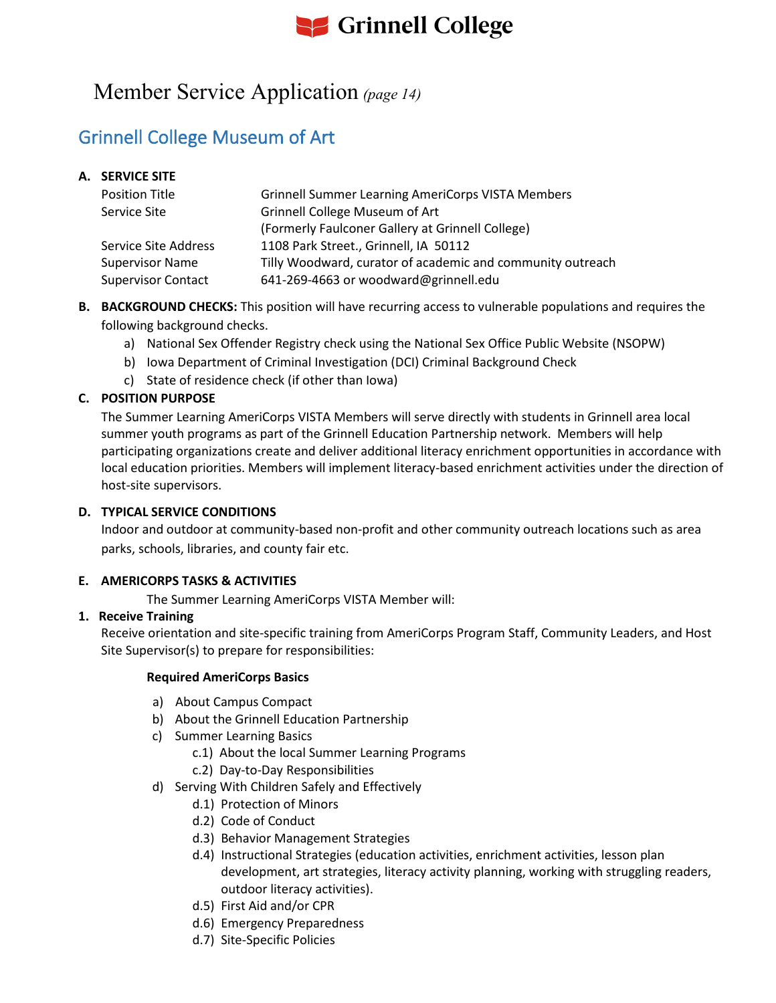# **S** Grinnell College

### Member Service Application *(page 14)*

### Grinnell College Museum of Art

#### **A. SERVICE SITE**

| <b>Position Title</b>     | <b>Grinnell Summer Learning AmeriCorps VISTA Members</b>   |
|---------------------------|------------------------------------------------------------|
| Service Site              | <b>Grinnell College Museum of Art</b>                      |
|                           | (Formerly Faulconer Gallery at Grinnell College)           |
| Service Site Address      | 1108 Park Street., Grinnell, IA 50112                      |
| <b>Supervisor Name</b>    | Tilly Woodward, curator of academic and community outreach |
| <b>Supervisor Contact</b> | 641-269-4663 or woodward@grinnell.edu                      |

- **B. BACKGROUND CHECKS:** This position will have recurring access to vulnerable populations and requires the following background checks.
	- a) National Sex Offender Registry check using the National Sex Office Public Website (NSOPW)
	- b) Iowa Department of Criminal Investigation (DCI) Criminal Background Check
	- c) State of residence check (if other than Iowa)

#### **C. POSITION PURPOSE**

The Summer Learning AmeriCorps VISTA Members will serve directly with students in Grinnell area local summer youth programs as part of the Grinnell Education Partnership network. Members will help participating organizations create and deliver additional literacy enrichment opportunities in accordance with local education priorities. Members will implement literacy-based enrichment activities under the direction of host-site supervisors.

#### **D. TYPICAL SERVICE CONDITIONS**

Indoor and outdoor at community-based non-profit and other community outreach locations such as area parks, schools, libraries, and county fair etc.

#### **E. AMERICORPS TASKS & ACTIVITIES**

The Summer Learning AmeriCorps VISTA Member will:

#### **1. Receive Training**

Receive orientation and site-specific training from AmeriCorps Program Staff, Community Leaders, and Host Site Supervisor(s) to prepare for responsibilities:

- a) About Campus Compact
- b) About the Grinnell Education Partnership
- c) Summer Learning Basics
	- c.1) About the local Summer Learning Programs
	- c.2) Day-to-Day Responsibilities
- d) Serving With Children Safely and Effectively
	- d.1) Protection of Minors
	- d.2) Code of Conduct
	- d.3) Behavior Management Strategies
	- d.4) Instructional Strategies (education activities, enrichment activities, lesson plan development, art strategies, literacy activity planning, working with struggling readers, outdoor literacy activities).
	- d.5) First Aid and/or CPR
	- d.6) Emergency Preparedness
	- d.7) Site-Specific Policies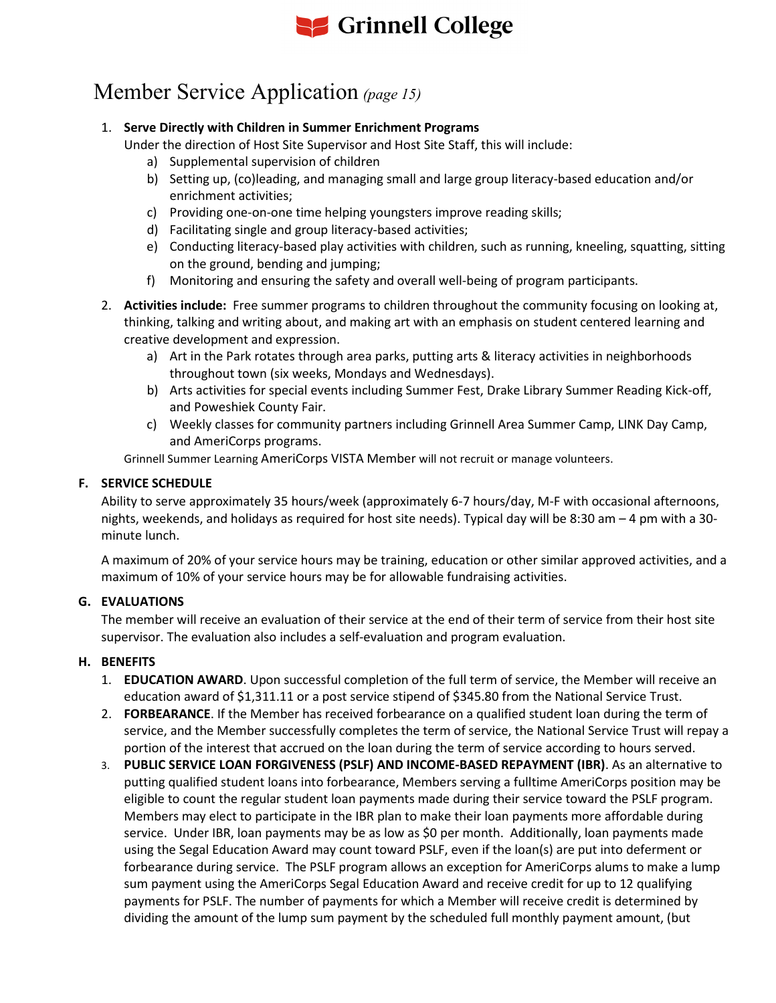# **S** Grinnell College

## Member Service Application *(page 15)*

#### 1. **Serve Directly with Children in Summer Enrichment Programs**

Under the direction of Host Site Supervisor and Host Site Staff, this will include:

- a) Supplemental supervision of children
- b) Setting up, (co)leading, and managing small and large group literacy-based education and/or enrichment activities;
- c) Providing one-on-one time helping youngsters improve reading skills;
- d) Facilitating single and group literacy-based activities;
- e) Conducting literacy-based play activities with children, such as running, kneeling, squatting, sitting on the ground, bending and jumping;
- f) Monitoring and ensuring the safety and overall well-being of program participants.
- 2. **Activities include:** Free summer programs to children throughout the community focusing on looking at, thinking, talking and writing about, and making art with an emphasis on student centered learning and creative development and expression.
	- a) Art in the Park rotates through area parks, putting arts & literacy activities in neighborhoods throughout town (six weeks, Mondays and Wednesdays).
	- b) Arts activities for special events including Summer Fest, Drake Library Summer Reading Kick-off, and Poweshiek County Fair.
	- c) Weekly classes for community partners including Grinnell Area Summer Camp, LINK Day Camp, and AmeriCorps programs.

Grinnell Summer Learning AmeriCorps VISTA Member will not recruit or manage volunteers.

#### **F. SERVICE SCHEDULE**

Ability to serve approximately 35 hours/week (approximately 6-7 hours/day, M-F with occasional afternoons, nights, weekends, and holidays as required for host site needs). Typical day will be 8:30 am – 4 pm with a 30 minute lunch.

A maximum of 20% of your service hours may be training, education or other similar approved activities, and a maximum of 10% of your service hours may be for allowable fundraising activities.

#### **G. EVALUATIONS**

The member will receive an evaluation of their service at the end of their term of service from their host site supervisor. The evaluation also includes a self-evaluation and program evaluation.

#### **H. BENEFITS**

- 1. **EDUCATION AWARD**. Upon successful completion of the full term of service, the Member will receive an education award of \$1,311.11 or a post service stipend of \$345.80 from the National Service Trust.
- 2. **FORBEARANCE**. If the Member has received forbearance on a qualified student loan during the term of service, and the Member successfully completes the term of service, the National Service Trust will repay a portion of the interest that accrued on the loan during the term of service according to hours served.
- 3. **PUBLIC SERVICE LOAN FORGIVENESS (PSLF) AND INCOME-BASED REPAYMENT (IBR)**. As an alternative to putting qualified student loans into forbearance, Members serving a fulltime AmeriCorps position may be eligible to count the regular student loan payments made during their service toward the PSLF program. Members may elect to participate in the IBR plan to make their loan payments more affordable during service. Under IBR, loan payments may be as low as \$0 per month. Additionally, loan payments made using the Segal Education Award may count toward PSLF, even if the loan(s) are put into deferment or forbearance during service. The PSLF program allows an exception for AmeriCorps alums to make a lump sum payment using the AmeriCorps Segal Education Award and receive credit for up to 12 qualifying payments for PSLF. The number of payments for which a Member will receive credit is determined by dividing the amount of the lump sum payment by the scheduled full monthly payment amount, (but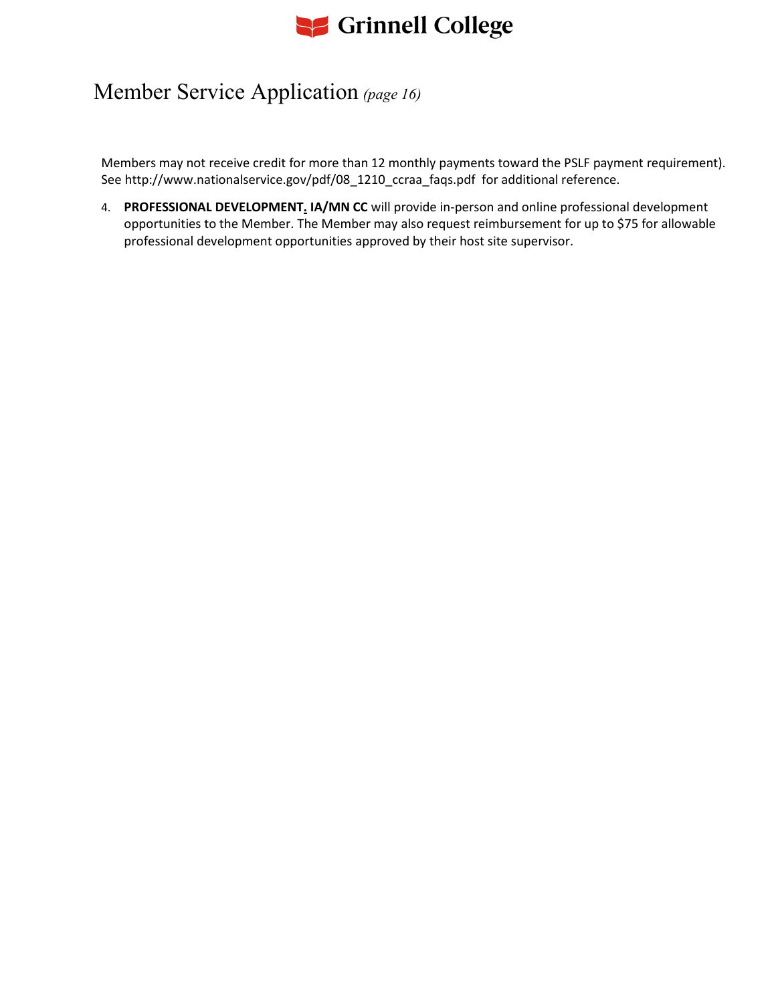

### Member Service Application *(page 16)*

Members may not receive credit for more than 12 monthly payments toward the PSLF payment requirement). See http://www.nationalservice.gov/pdf/08\_1210\_ccraa\_faqs.pdf for additional reference.

4. **PROFESSIONAL DEVELOPMENT. IA/MN CC** will provide in-person and online professional development opportunities to the Member. The Member may also request reimbursement for up to \$75 for allowable professional development opportunities approved by their host site supervisor.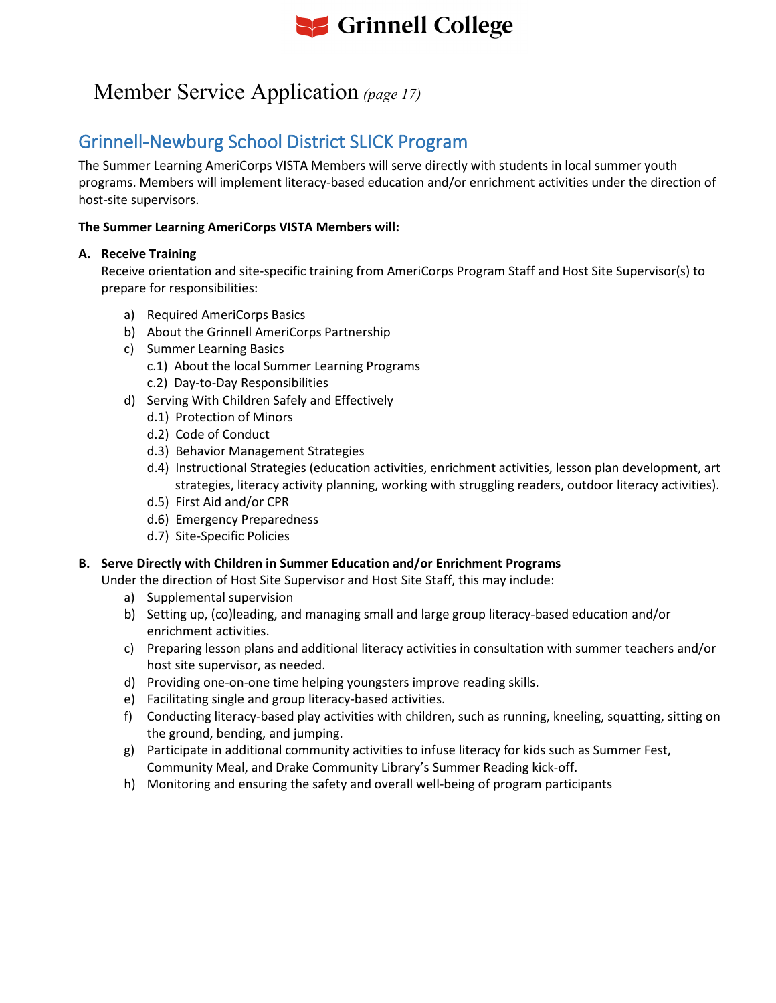

### Member Service Application *(page 17)*

### Grinnell-Newburg School District SLICK Program

The Summer Learning AmeriCorps VISTA Members will serve directly with students in local summer youth programs. Members will implement literacy-based education and/or enrichment activities under the direction of host-site supervisors.

#### **The Summer Learning AmeriCorps VISTA Members will:**

#### **A. Receive Training**

Receive orientation and site-specific training from AmeriCorps Program Staff and Host Site Supervisor(s) to prepare for responsibilities:

- a) Required AmeriCorps Basics
- b) About the Grinnell AmeriCorps Partnership
- c) Summer Learning Basics
	- c.1) About the local Summer Learning Programs
	- c.2) Day-to-Day Responsibilities
- d) Serving With Children Safely and Effectively
	- d.1) Protection of Minors
	- d.2) Code of Conduct
	- d.3) Behavior Management Strategies
	- d.4) Instructional Strategies (education activities, enrichment activities, lesson plan development, art strategies, literacy activity planning, working with struggling readers, outdoor literacy activities).
	- d.5) First Aid and/or CPR
	- d.6) Emergency Preparedness
	- d.7) Site-Specific Policies

#### **B. Serve Directly with Children in Summer Education and/or Enrichment Programs**

- Under the direction of Host Site Supervisor and Host Site Staff, this may include:
	- a) Supplemental supervision
	- b) Setting up, (co)leading, and managing small and large group literacy-based education and/or enrichment activities.
	- c) Preparing lesson plans and additional literacy activities in consultation with summer teachers and/or host site supervisor, as needed.
	- d) Providing one-on-one time helping youngsters improve reading skills.
	- e) Facilitating single and group literacy-based activities.
	- f) Conducting literacy-based play activities with children, such as running, kneeling, squatting, sitting on the ground, bending, and jumping.
	- g) Participate in additional community activities to infuse literacy for kids such as Summer Fest, Community Meal, and Drake Community Library's Summer Reading kick-off.
	- h) Monitoring and ensuring the safety and overall well-being of program participants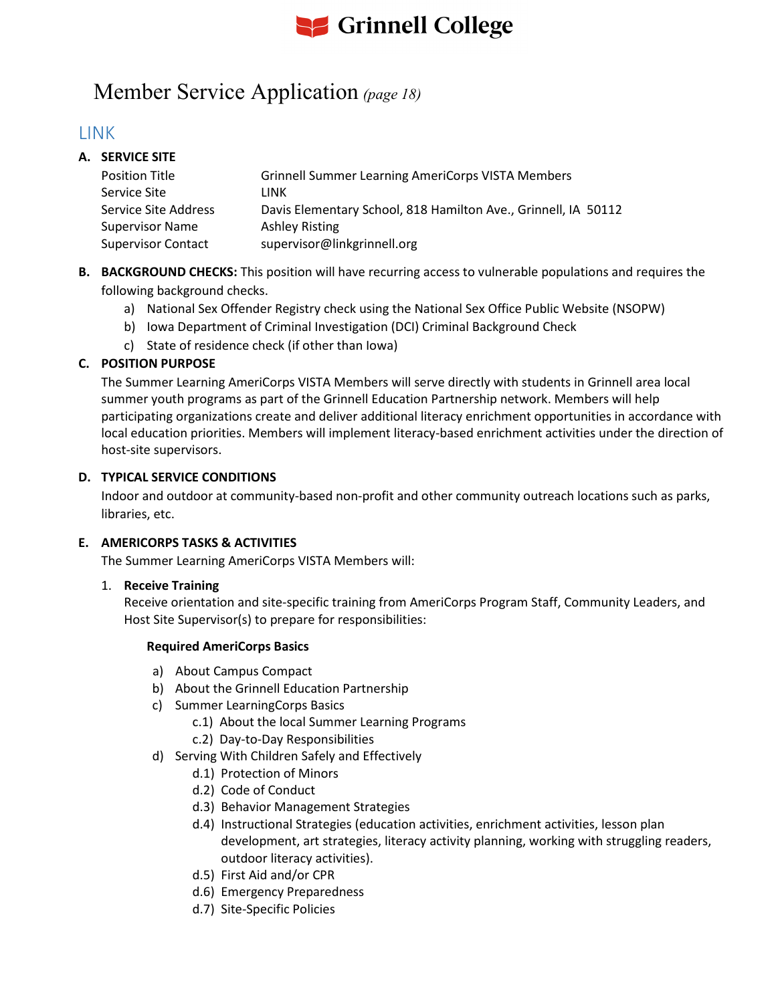

### Member Service Application *(page 18)*

### LINK

#### **A. SERVICE SITE**

| <b>Position Title</b>     | <b>Grinnell Summer Learning AmeriCorps VISTA Members</b>       |
|---------------------------|----------------------------------------------------------------|
| Service Site              | LINK                                                           |
| Service Site Address      | Davis Elementary School, 818 Hamilton Ave., Grinnell, IA 50112 |
| <b>Supervisor Name</b>    | <b>Ashley Risting</b>                                          |
| <b>Supervisor Contact</b> | supervisor@linkgrinnell.org                                    |

**B. BACKGROUND CHECKS:** This position will have recurring access to vulnerable populations and requires the following background checks.

- a) National Sex Offender Registry check using the National Sex Office Public Website (NSOPW)
- b) Iowa Department of Criminal Investigation (DCI) Criminal Background Check
- c) State of residence check (if other than Iowa)

#### **C. POSITION PURPOSE**

The Summer Learning AmeriCorps VISTA Members will serve directly with students in Grinnell area local summer youth programs as part of the Grinnell Education Partnership network. Members will help participating organizations create and deliver additional literacy enrichment opportunities in accordance with local education priorities. Members will implement literacy-based enrichment activities under the direction of host-site supervisors.

#### **D. TYPICAL SERVICE CONDITIONS**

Indoor and outdoor at community-based non-profit and other community outreach locations such as parks, libraries, etc.

#### **E. AMERICORPS TASKS & ACTIVITIES**

The Summer Learning AmeriCorps VISTA Members will:

#### 1. **Receive Training**

Receive orientation and site-specific training from AmeriCorps Program Staff, Community Leaders, and Host Site Supervisor(s) to prepare for responsibilities:

- a) About Campus Compact
- b) About the Grinnell Education Partnership
- c) Summer LearningCorps Basics
	- c.1) About the local Summer Learning Programs
	- c.2) Day-to-Day Responsibilities
- d) Serving With Children Safely and Effectively
	- d.1) Protection of Minors
	- d.2) Code of Conduct
	- d.3) Behavior Management Strategies
	- d.4) Instructional Strategies (education activities, enrichment activities, lesson plan development, art strategies, literacy activity planning, working with struggling readers, outdoor literacy activities).
	- d.5) First Aid and/or CPR
	- d.6) Emergency Preparedness
	- d.7) Site-Specific Policies